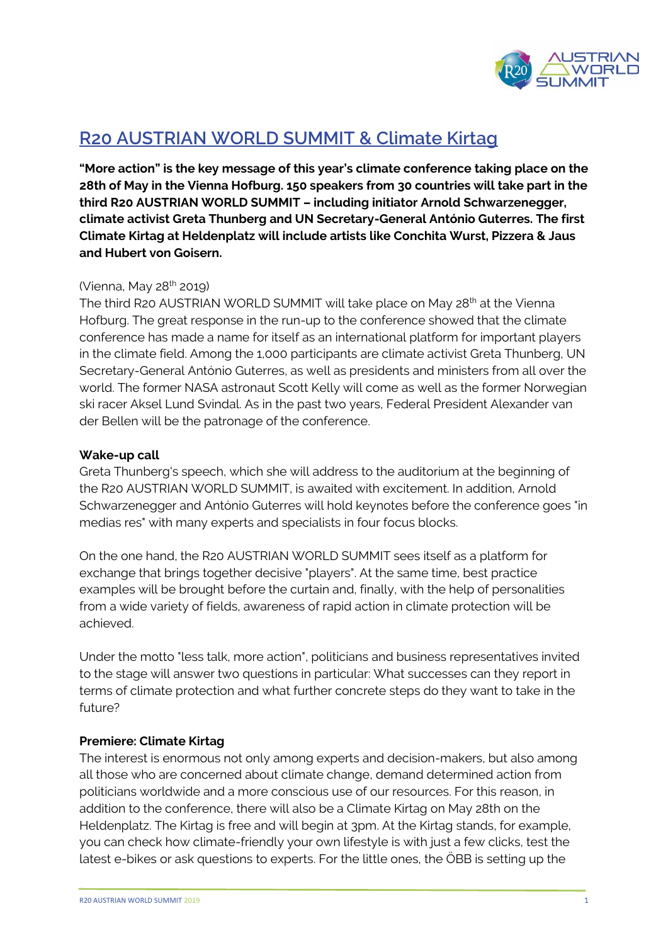

# **R20 AUSTRIAN WORLD SUMMIT & Climate Kirtag**

**"More action" is the key message of this year's climate conference taking place on the 28th of May in the Vienna Hofburg. 150 speakers from 30 countries will take part in the third R20 AUSTRIAN WORLD SUMMIT – including initiator Arnold Schwarzenegger, climate activist Greta Thunberg and UN Secretary-General António Guterres. The first Climate Kirtag at Heldenplatz will include artists like Conchita Wurst, Pizzera & Jaus and Hubert von Goisern.**

## (Vienna, May 28<sup>th</sup> 2019)

The third R20 AUSTRIAN WORLD SUMMIT will take place on May 28<sup>th</sup> at the Vienna Hofburg. The great response in the run-up to the conference showed that the climate conference has made a name for itself as an international platform for important players in the climate field. Among the 1,000 participants are climate activist Greta Thunberg, UN Secretary-General António Guterres, as well as presidents and ministers from all over the world. The former NASA astronaut Scott Kelly will come as well as the former Norwegian ski racer Aksel Lund Svindal. As in the past two years, Federal President Alexander van der Bellen will be the patronage of the conference.

#### **Wake-up call**

Greta Thunberg's speech, which she will address to the auditorium at the beginning of the R20 AUSTRIAN WORLD SUMMIT, is awaited with excitement. In addition, Arnold Schwarzenegger and António Guterres will hold keynotes before the conference goes "in medias res" with many experts and specialists in four focus blocks.

On the one hand, the R20 AUSTRIAN WORLD SUMMIT sees itself as a platform for exchange that brings together decisive "players". At the same time, best practice examples will be brought before the curtain and, finally, with the help of personalities from a wide variety of fields, awareness of rapid action in climate protection will be achieved.

Under the motto "less talk, more action", politicians and business representatives invited to the stage will answer two questions in particular: What successes can they report in terms of climate protection and what further concrete steps do they want to take in the future?

## **Premiere: Climate Kirtag**

The interest is enormous not only among experts and decision-makers, but also among all those who are concerned about climate change, demand determined action from politicians worldwide and a more conscious use of our resources. For this reason, in addition to the conference, there will also be a Climate Kirtag on May 28th on the Heldenplatz. The Kirtag is free and will begin at 3pm. At the Kirtag stands, for example, you can check how climate-friendly your own lifestyle is with just a few clicks, test the latest e-bikes or ask questions to experts. For the little ones, the ÖBB is setting up the